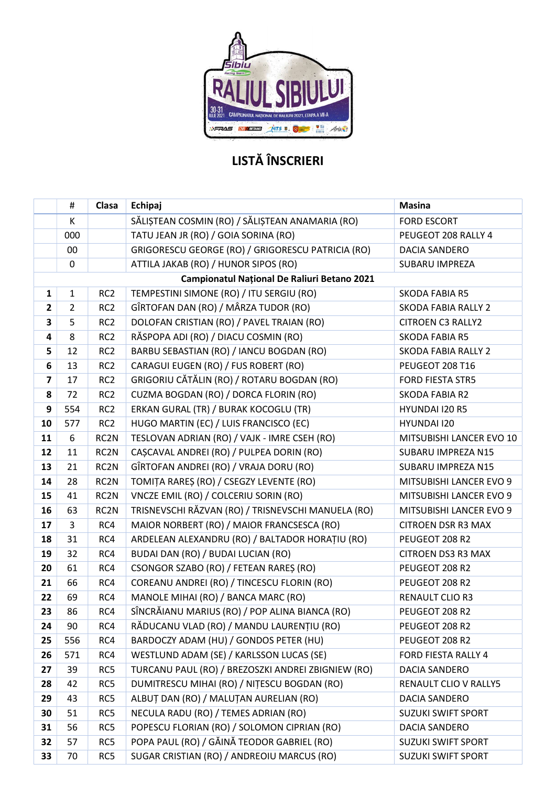

## LISTĂ ÎNSCRIERI

|                         | #                                           | Clasa             | Echipaj<br><b>Masina</b>                                                |                            |  |  |  |  |  |  |
|-------------------------|---------------------------------------------|-------------------|-------------------------------------------------------------------------|----------------------------|--|--|--|--|--|--|
|                         | K                                           |                   | SĂLIȘTEAN COSMIN (RO) / SĂLIȘTEAN ANAMARIA (RO)                         | <b>FORD ESCORT</b>         |  |  |  |  |  |  |
|                         | 000                                         |                   | TATU JEAN JR (RO) / GOIA SORINA (RO)                                    | PEUGEOT 208 RALLY 4        |  |  |  |  |  |  |
|                         | 00                                          |                   | GRIGORESCU GEORGE (RO) / GRIGORESCU PATRICIA (RO)                       | DACIA SANDERO              |  |  |  |  |  |  |
|                         | $\pmb{0}$                                   |                   | ATTILA JAKAB (RO) / HUNOR SIPOS (RO)                                    | <b>SUBARU IMPREZA</b>      |  |  |  |  |  |  |
|                         | Campionatul Național De Raliuri Betano 2021 |                   |                                                                         |                            |  |  |  |  |  |  |
| $\mathbf{1}$            | $\mathbf{1}$                                | RC <sub>2</sub>   | TEMPESTINI SIMONE (RO) / ITU SERGIU (RO)                                | <b>SKODA FABIA R5</b>      |  |  |  |  |  |  |
| $\overline{\mathbf{2}}$ | $\overline{2}$                              | RC <sub>2</sub>   | GÎRTOFAN DAN (RO) / MÂRZA TUDOR (RO)                                    | <b>SKODA FABIA RALLY 2</b> |  |  |  |  |  |  |
| 3                       | 5                                           | RC <sub>2</sub>   | DOLOFAN CRISTIAN (RO) / PAVEL TRAIAN (RO)                               | <b>CITROEN C3 RALLY2</b>   |  |  |  |  |  |  |
| 4                       | 8                                           | RC <sub>2</sub>   | RĂSPOPA ADI (RO) / DIACU COSMIN (RO)<br><b>SKODA FABIA R5</b>           |                            |  |  |  |  |  |  |
| 5                       | 12                                          | RC <sub>2</sub>   | BARBU SEBASTIAN (RO) / IANCU BOGDAN (RO)                                | <b>SKODA FABIA RALLY 2</b> |  |  |  |  |  |  |
| 6                       | 13                                          | RC <sub>2</sub>   | CARAGUI EUGEN (RO) / FUS ROBERT (RO)                                    | PEUGEOT 208 T16            |  |  |  |  |  |  |
| $\overline{\mathbf{z}}$ | 17                                          | RC <sub>2</sub>   | GRIGORIU CĂTĂLIN (RO) / ROTARU BOGDAN (RO)                              | <b>FORD FIESTA STR5</b>    |  |  |  |  |  |  |
| 8                       | 72                                          | RC <sub>2</sub>   | CUZMA BOGDAN (RO) / DORCA FLORIN (RO)                                   | SKODA FABIA R2             |  |  |  |  |  |  |
| 9                       | 554                                         | RC <sub>2</sub>   | ERKAN GURAL (TR) / BURAK KOCOGLU (TR)<br>HYUNDAI I20 R5                 |                            |  |  |  |  |  |  |
| 10                      | 577                                         | RC <sub>2</sub>   | HUGO MARTIN (EC) / LUIS FRANCISCO (EC)                                  | HYUNDAI I20                |  |  |  |  |  |  |
| 11                      | 6                                           | RC2N              | TESLOVAN ADRIAN (RO) / VAJK - IMRE CSEH (RO)                            | MITSUBISHI LANCER EVO 10   |  |  |  |  |  |  |
| 12                      | 11                                          | RC2N              | CAȘCAVAL ANDREI (RO) / PULPEA DORIN (RO)                                | SUBARU IMPREZA N15         |  |  |  |  |  |  |
| 13                      | 21                                          | RC2N              | GÎRTOFAN ANDREI (RO) / VRAJA DORU (RO)                                  | SUBARU IMPREZA N15         |  |  |  |  |  |  |
| 14                      | 28                                          | RC <sub>2</sub> N | TOMIȚA RAREȘ (RO) / CSEGZY LEVENTE (RO)                                 | MITSUBISHI LANCER EVO 9    |  |  |  |  |  |  |
| 15                      | 41                                          | RC2N              | VNCZE EMIL (RO) / COLCERIU SORIN (RO)                                   | MITSUBISHI LANCER EVO 9    |  |  |  |  |  |  |
| 16                      | 63                                          | RC2N              | TRISNEVSCHI RĂZVAN (RO) / TRISNEVSCHI MANUELA (RO)                      | MITSUBISHI LANCER EVO 9    |  |  |  |  |  |  |
| 17                      | 3                                           | RC4               | MAIOR NORBERT (RO) / MAIOR FRANCSESCA (RO)<br><b>CITROEN DSR R3 MAX</b> |                            |  |  |  |  |  |  |
| 18                      | 31                                          | RC4               | ARDELEAN ALEXANDRU (RO) / BALTADOR HORAȚIU (RO)                         | PEUGEOT 208 R2             |  |  |  |  |  |  |
| 19                      | 32                                          | RC4               | BUDAI DAN (RO) / BUDAI LUCIAN (RO)                                      | <b>CITROEN DS3 R3 MAX</b>  |  |  |  |  |  |  |
| 20                      | 61                                          | RC4               | CSONGOR SZABO (RO) / FETEAN RAREȘ (RO)                                  | PEUGEOT 208 R2             |  |  |  |  |  |  |
| 21                      | 66                                          | RC4               | COREANU ANDREI (RO) / TINCESCU FLORIN (RO)                              | PEUGEOT 208 R2             |  |  |  |  |  |  |
| 22                      | 69                                          | RC4               | MANOLE MIHAI (RO) / BANCA MARC (RO)<br><b>RENAULT CLIO R3</b>           |                            |  |  |  |  |  |  |
| 23                      | 86                                          | RC4               | SÎNCRĂIANU MARIUS (RO) / POP ALINA BIANCA (RO)                          | PEUGEOT 208 R2             |  |  |  |  |  |  |
| 24                      | 90                                          | RC4               | RĂDUCANU VLAD (RO) / MANDU LAURENȚIU (RO)                               | PEUGEOT 208 R2             |  |  |  |  |  |  |
| 25                      | 556                                         | RC4               | BARDOCZY ADAM (HU) / GONDOS PETER (HU)                                  | PEUGEOT 208 R2             |  |  |  |  |  |  |
| 26                      | 571                                         | RC4               | WESTLUND ADAM (SE) / KARLSSON LUCAS (SE)                                | FORD FIESTA RALLY 4        |  |  |  |  |  |  |
| 27                      | 39                                          | RC5               | TURCANU PAUL (RO) / BREZOSZKI ANDREI ZBIGNIEW (RO)                      | DACIA SANDERO              |  |  |  |  |  |  |
| 28                      | 42                                          | RC5               | DUMITRESCU MIHAI (RO) / NIȚESCU BOGDAN (RO)                             | RENAULT CLIO V RALLY5      |  |  |  |  |  |  |
| 29                      | 43                                          | RC5               | ALBUȚ DAN (RO) / MALUȚAN AURELIAN (RO)<br>DACIA SANDERO                 |                            |  |  |  |  |  |  |
| 30                      | 51                                          | RC5               | NECULA RADU (RO) / TEMES ADRIAN (RO)<br><b>SUZUKI SWIFT SPORT</b>       |                            |  |  |  |  |  |  |
| 31                      | 56                                          | RC5               | POPESCU FLORIAN (RO) / SOLOMON CIPRIAN (RO)<br>DACIA SANDERO            |                            |  |  |  |  |  |  |
| 32                      | 57                                          | RC5               | POPA PAUL (RO) / GĂINĂ TEODOR GABRIEL (RO)<br><b>SUZUKI SWIFT SPORT</b> |                            |  |  |  |  |  |  |
| 33                      | 70                                          | RC5               | SUGAR CRISTIAN (RO) / ANDREOIU MARCUS (RO)                              | <b>SUZUKI SWIFT SPORT</b>  |  |  |  |  |  |  |